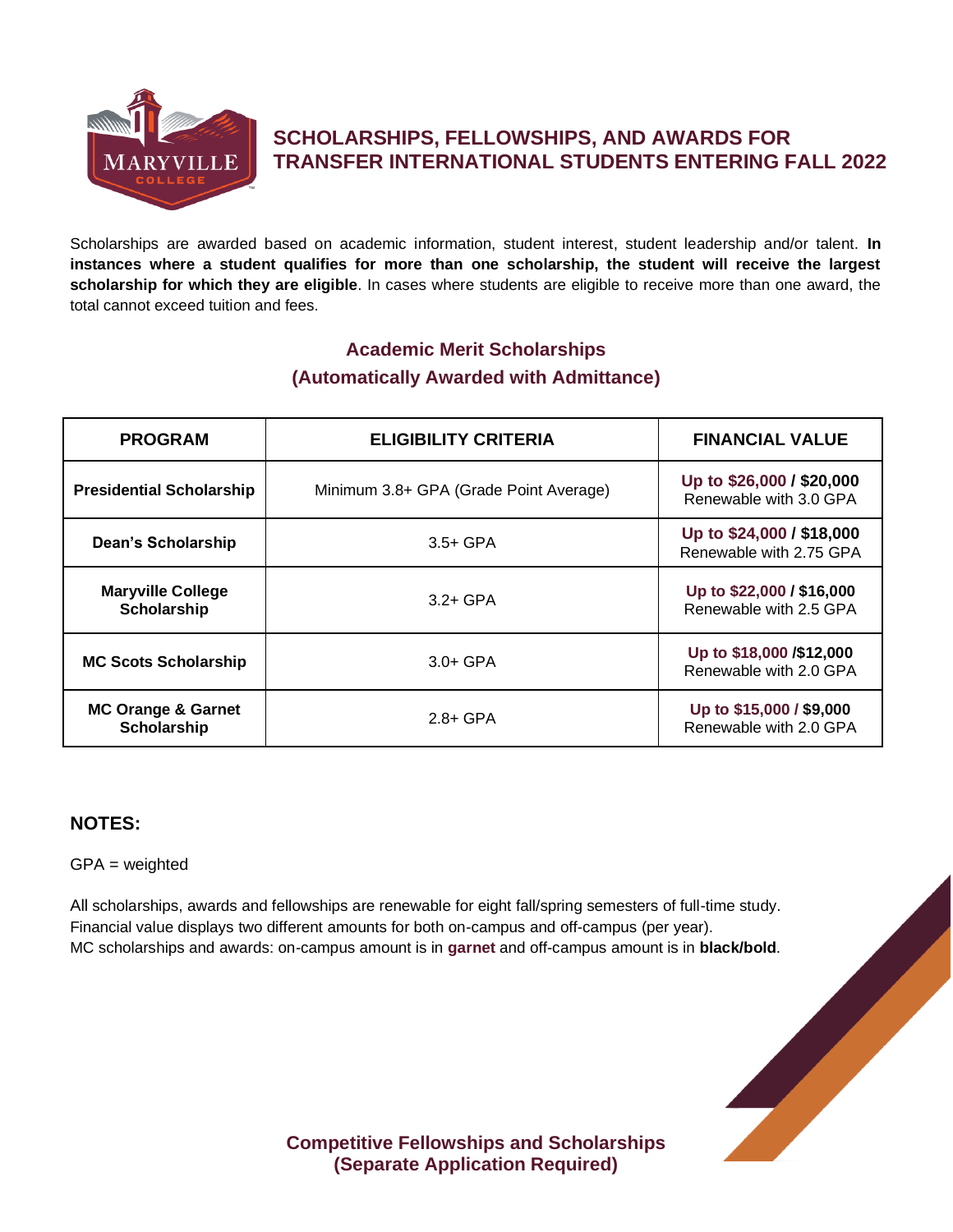

# **SCHOLARSHIPS, FELLOWSHIPS, AND AWARDS FOR TRANSFER INTERNATIONAL STUDENTS ENTERING FALL 2022**

Scholarships are awarded based on academic information, student interest, student leadership and/or talent. **In instances where a student qualifies for more than one scholarship, the student will receive the largest scholarship for which they are eligible**. In cases where students are eligible to receive more than one award, the total cannot exceed tuition and fees.

## **Academic Merit Scholarships (Automatically Awarded with Admittance)**

| <b>PROGRAM</b>                               | <b>ELIGIBILITY CRITERIA</b>            | <b>FINANCIAL VALUE</b>                               |
|----------------------------------------------|----------------------------------------|------------------------------------------------------|
| <b>Presidential Scholarship</b>              | Minimum 3.8+ GPA (Grade Point Average) | Up to \$26,000 / \$20,000<br>Renewable with 3.0 GPA  |
| Dean's Scholarship                           | $3.5+$ GPA                             | Up to \$24,000 / \$18,000<br>Renewable with 2.75 GPA |
| <b>Maryville College</b><br>Scholarship      | $3.2 + GPA$                            | Up to \$22,000 / \$16,000<br>Renewable with 2.5 GPA  |
| <b>MC Scots Scholarship</b>                  | $3.0 + GPA$                            | Up to \$18,000 /\$12,000<br>Renewable with 2.0 GPA   |
| <b>MC Orange &amp; Garnet</b><br>Scholarship | $2.8 + GPA$                            | Up to \$15,000 / \$9,000<br>Renewable with 2.0 GPA   |

### **NOTES:**

GPA = weighted

Financial value displays two different amounts for both on-campus and off-campus (per year). MC scholarships and awards: on-campus amount is in **garnet** and off-campus amount is in **black/bold**.



**Competitive Fellowships and Scholarships (Separate Application Required)**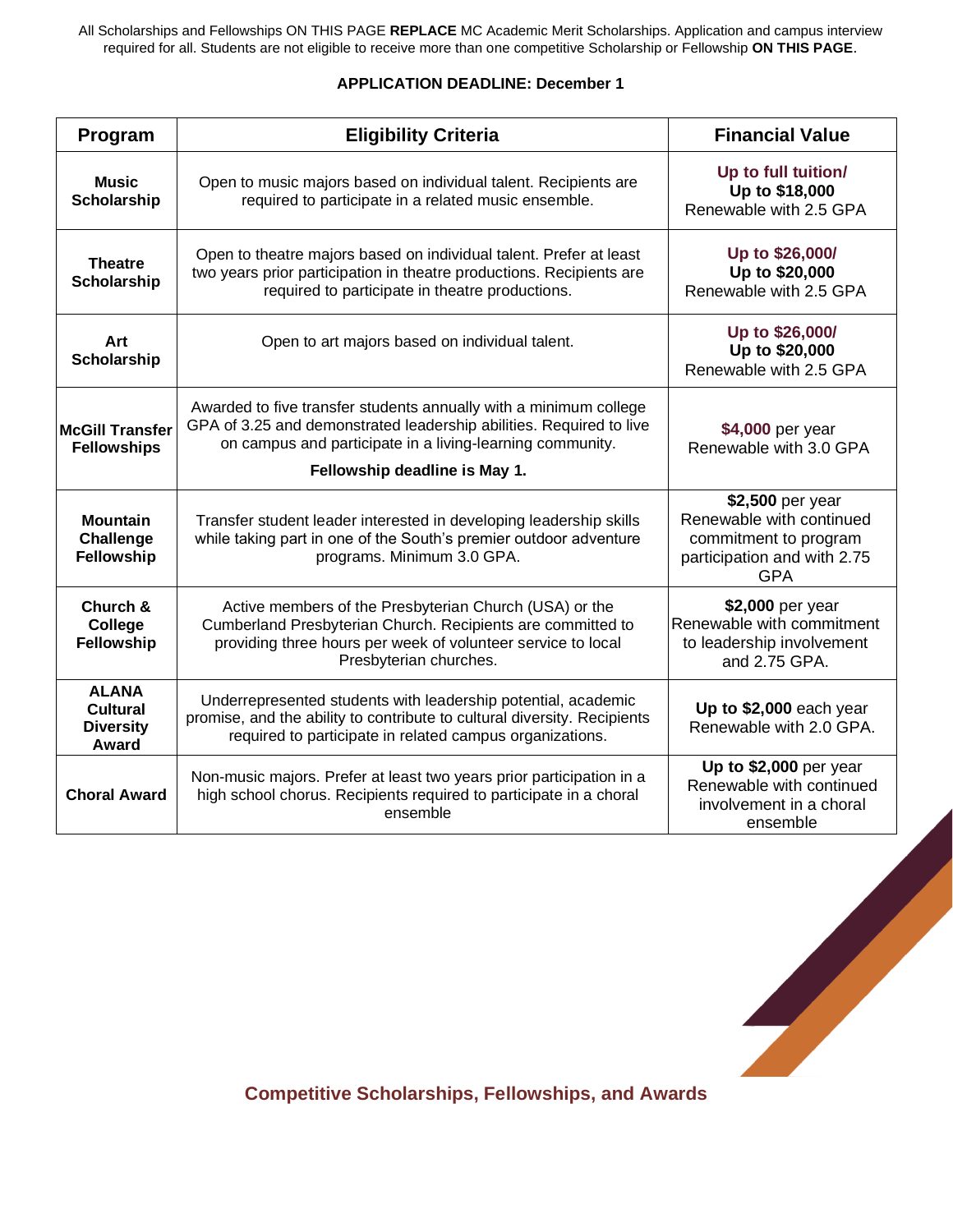All Scholarships and Fellowships ON THIS PAGE **REPLACE** MC Academic Merit Scholarships. Application and campus interview required for all. Students are not eligible to receive more than one competitive Scholarship or Fellowship **ON THIS PAGE**.

#### **APPLICATION DEADLINE: December 1**

| Program                                                      | <b>Eligibility Criteria</b>                                                                                                                                                                                                            | <b>Financial Value</b>                                                                                             |
|--------------------------------------------------------------|----------------------------------------------------------------------------------------------------------------------------------------------------------------------------------------------------------------------------------------|--------------------------------------------------------------------------------------------------------------------|
| <b>Music</b><br><b>Scholarship</b>                           | Open to music majors based on individual talent. Recipients are<br>required to participate in a related music ensemble.                                                                                                                | Up to full tuition/<br>Up to \$18,000<br>Renewable with 2.5 GPA                                                    |
| <b>Theatre</b><br><b>Scholarship</b>                         | Open to theatre majors based on individual talent. Prefer at least<br>two years prior participation in theatre productions. Recipients are<br>required to participate in theatre productions.                                          | Up to \$26,000/<br>Up to \$20,000<br>Renewable with 2.5 GPA                                                        |
| Art<br>Scholarship                                           | Open to art majors based on individual talent.                                                                                                                                                                                         | Up to \$26,000/<br>Up to \$20,000<br>Renewable with 2.5 GPA                                                        |
| <b>McGill Transfer</b><br><b>Fellowships</b>                 | Awarded to five transfer students annually with a minimum college<br>GPA of 3.25 and demonstrated leadership abilities. Required to live<br>on campus and participate in a living-learning community.<br>Fellowship deadline is May 1. | \$4,000 per year<br>Renewable with 3.0 GPA                                                                         |
| <b>Mountain</b><br><b>Challenge</b><br>Fellowship            | Transfer student leader interested in developing leadership skills<br>while taking part in one of the South's premier outdoor adventure<br>programs. Minimum 3.0 GPA.                                                                  | \$2,500 per year<br>Renewable with continued<br>commitment to program<br>participation and with 2.75<br><b>GPA</b> |
| Church &<br><b>College</b><br><b>Fellowship</b>              | Active members of the Presbyterian Church (USA) or the<br>Cumberland Presbyterian Church. Recipients are committed to<br>providing three hours per week of volunteer service to local<br>Presbyterian churches.                        | \$2,000 per year<br>Renewable with commitment<br>to leadership involvement<br>and 2.75 GPA.                        |
| <b>ALANA</b><br><b>Cultural</b><br><b>Diversity</b><br>Award | Underrepresented students with leadership potential, academic<br>promise, and the ability to contribute to cultural diversity. Recipients<br>required to participate in related campus organizations.                                  | Up to \$2,000 each year<br>Renewable with 2.0 GPA.                                                                 |
| <b>Choral Award</b>                                          | Non-music majors. Prefer at least two years prior participation in a<br>high school chorus. Recipients required to participate in a choral<br>ensemble                                                                                 | Up to \$2,000 per year<br>Renewable with continued<br>involvement in a choral<br>ensemble                          |

**Competitive Scholarships, Fellowships, and Awards**